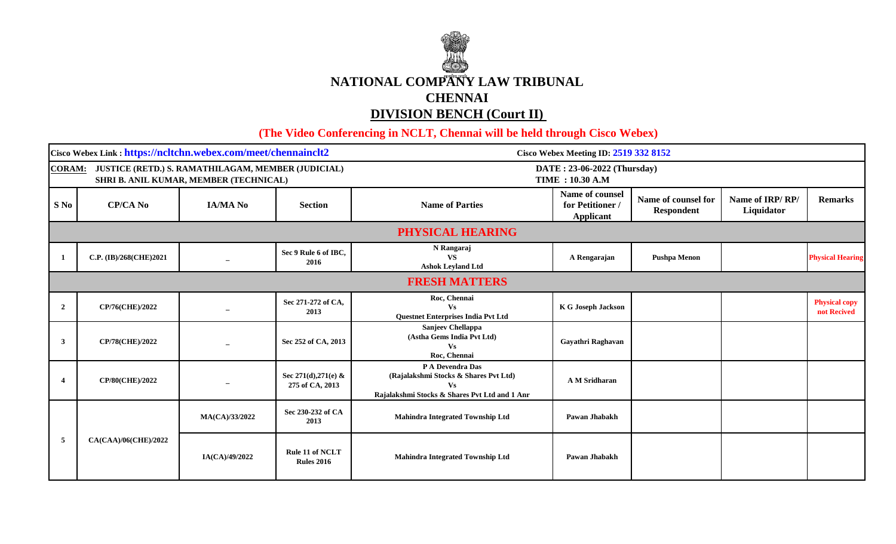

 **(The Video Conferencing in NCLT, Chennai will be held through Cisco Webex)** 

| Cisco Webex Link: https://ncltchn.webex.com/meet/chennainclt2                                       |                        |                          |                                                        | Cisco Webex Meeting ID: 2519 332 8152                                                                            |                                                         |                                          |                               |                                     |  |  |
|-----------------------------------------------------------------------------------------------------|------------------------|--------------------------|--------------------------------------------------------|------------------------------------------------------------------------------------------------------------------|---------------------------------------------------------|------------------------------------------|-------------------------------|-------------------------------------|--|--|
| CORAM: JUSTICE (RETD.) S. RAMATHILAGAM, MEMBER (JUDICIAL)<br>SHRI B. ANIL KUMAR, MEMBER (TECHNICAL) |                        |                          | DATE: 23-06-2022 (Thursday)<br><b>TIME : 10.30 A.M</b> |                                                                                                                  |                                                         |                                          |                               |                                     |  |  |
| S No                                                                                                | <b>CP/CA No</b>        | <b>IA/MA No</b>          | <b>Section</b>                                         | <b>Name of Parties</b>                                                                                           | Name of counsel<br>for Petitioner /<br><b>Applicant</b> | Name of counsel for<br><b>Respondent</b> | Name of IRP/RP/<br>Liquidator | <b>Remarks</b>                      |  |  |
|                                                                                                     | PHYSICAL HEARING       |                          |                                                        |                                                                                                                  |                                                         |                                          |                               |                                     |  |  |
| -1                                                                                                  | C.P. (IB)/268(CHE)2021 |                          | Sec 9 Rule 6 of IBC,<br>2016                           | N Rangaraj<br><b>VS</b><br><b>Ashok Leyland Ltd</b>                                                              | A Rengarajan                                            | <b>Pushpa Menon</b>                      |                               | <b>Physical Hearing</b>             |  |  |
|                                                                                                     | <b>FRESH MATTERS</b>   |                          |                                                        |                                                                                                                  |                                                         |                                          |                               |                                     |  |  |
| $\overline{2}$                                                                                      | CP/76(CHE)/2022        |                          | Sec 271-272 of CA,<br>2013                             | Roc, Chennai<br>$\mathbf{V}\mathbf{s}$<br>Questnet Enterprises India Pvt Ltd                                     | K G Joseph Jackson                                      |                                          |                               | <b>Physical copy</b><br>not Recived |  |  |
| $\mathbf{3}$                                                                                        | CP/78(CHE)/2022        | $\overline{\phantom{m}}$ | Sec 252 of CA, 2013                                    | Sanjeev Chellappa<br>(Astha Gems India Pvt Ltd)<br><b>Vs</b><br>Roc, Chennai                                     | Gayathri Raghavan                                       |                                          |                               |                                     |  |  |
| $\overline{\mathbf{4}}$                                                                             | CP/80(CHE)/2022        |                          | Sec 271(d), 271(e) &<br>275 of CA, 2013                | P A Devendra Das<br>(Rajalakshmi Stocks & Shares Pvt Ltd)<br>Vs<br>Rajalakshmi Stocks & Shares Pvt Ltd and 1 Anr | A M Sridharan                                           |                                          |                               |                                     |  |  |
| 5                                                                                                   | CA(CAA)/06(CHE)/2022   | MA(CA)/33/2022           | Sec 230-232 of CA<br>2013                              | Mahindra Integrated Township Ltd                                                                                 | Pawan Jhabakh                                           |                                          |                               |                                     |  |  |
|                                                                                                     |                        | IA(CA)/49/2022           | Rule 11 of NCLT<br><b>Rules 2016</b>                   | Mahindra Integrated Township Ltd                                                                                 | Pawan Jhabakh                                           |                                          |                               |                                     |  |  |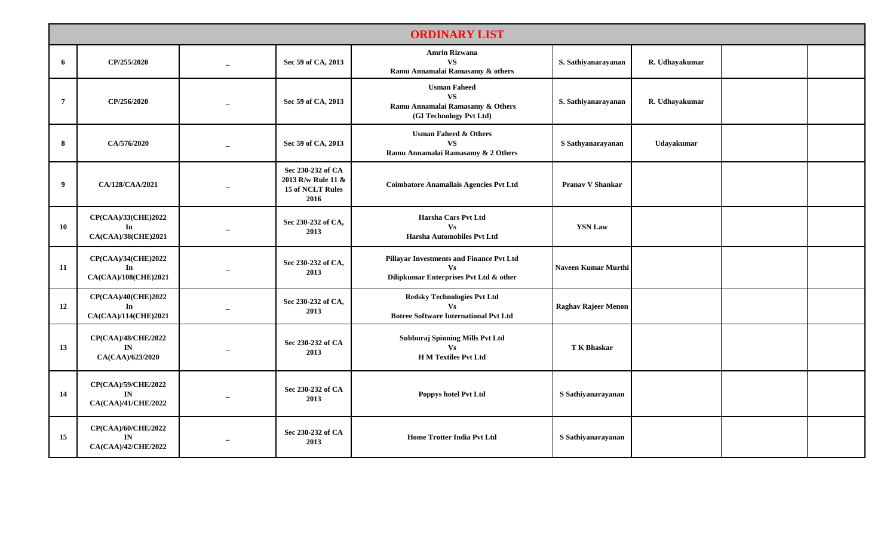| <b>ORDINARY LIST</b> |                                                             |                          |                                                                     |                                                                                                              |                            |                |  |  |
|----------------------|-------------------------------------------------------------|--------------------------|---------------------------------------------------------------------|--------------------------------------------------------------------------------------------------------------|----------------------------|----------------|--|--|
| 6                    | CP/255/2020                                                 | $\overline{a}$           | Sec 59 of CA, 2013                                                  | <b>Amrin Rizwana</b><br><b>VS</b><br>Ramu Annamalai Ramasamy & others                                        | S. Sathiyanarayanan        | R. Udhayakumar |  |  |
| $\overline{7}$       | CP/256/2020                                                 |                          | Sec 59 of CA, 2013                                                  | <b>Usman Faheed</b><br><b>VS</b><br>Ramu Annamalai Ramasamy & Others<br>(GI Technology Pvt Ltd)              | S. Sathiyanarayanan        | R. Udhayakumar |  |  |
| 8                    | CA/576/2020                                                 |                          | Sec 59 of CA, 2013                                                  | <b>Usman Faheed &amp; Others</b><br><b>VS</b><br>Ramu Annamalai Ramasamy & 2 Others                          | S Sathyanarayanan          | Udayakumar     |  |  |
| 9                    | CA/128/CAA/2021                                             |                          | Sec 230-232 of CA<br>2013 R/w Rule 11 &<br>15 of NCLT Rules<br>2016 | <b>Coimbatore Anamallais Agencies Pvt Ltd</b>                                                                | <b>Pranav V Shankar</b>    |                |  |  |
| 10                   | CP(CAA)/33(CHE)2022<br>In<br>CA(CAA)/38(CHE)2021            |                          | Sec 230-232 of CA,<br>2013                                          | Harsha Cars Pvt Ltd<br>$\mathbf{V}\mathbf{s}$<br>Harsha Automobiles Pvt Ltd                                  | <b>YSN Law</b>             |                |  |  |
| 11                   | CP(CAA)/34(CHE)2022<br>In<br>CA(CAA)/108(CHE)2021           |                          | Sec 230-232 of CA,<br>2013                                          | Pillayar Investments and Finance Pvt Ltd<br><b>Vs</b><br>Dilipkumar Enterprises Pvt Ltd & other              | Naveen Kumar Murthi        |                |  |  |
| 12                   | CP(CAA)/40(CHE)2022<br>In<br>CA(CAA)/114(CHE)2021           |                          | Sec 230-232 of CA,<br>2013                                          | <b>Redsky Technologies Pvt Ltd</b><br>$\mathbf{V}\mathbf{s}$<br><b>Botree Software International Pvt Ltd</b> | <b>Raghav Rajeer Menon</b> |                |  |  |
| 13                   | CP(CAA)/48/CHE/2022<br>$\mathbf{IN}$<br>CA(CAA)/623/2020    | $\overline{\phantom{0}}$ | Sec 230-232 of CA<br>2013                                           | Subburaj Spinning Mills Pvt Ltd<br>Vs<br><b>H M Textiles Pvt Ltd</b>                                         | <b>T K Bhaskar</b>         |                |  |  |
| 14                   | CP(CAA)/59/CHE/2022<br>$\mathbf{IN}$<br>CA(CAA)/41/CHE/2022 |                          | Sec 230-232 of CA<br>2013                                           | Poppys hotel Pvt Ltd                                                                                         | S Sathiyanarayanan         |                |  |  |
| 15                   | CP(CAA)/60/CHE/2022<br>IN<br>CA(CAA)/42/CHE/2022            |                          | Sec 230-232 of CA<br>2013                                           | <b>Home Trotter India Pvt Ltd</b>                                                                            | S Sathiyanarayanan         |                |  |  |